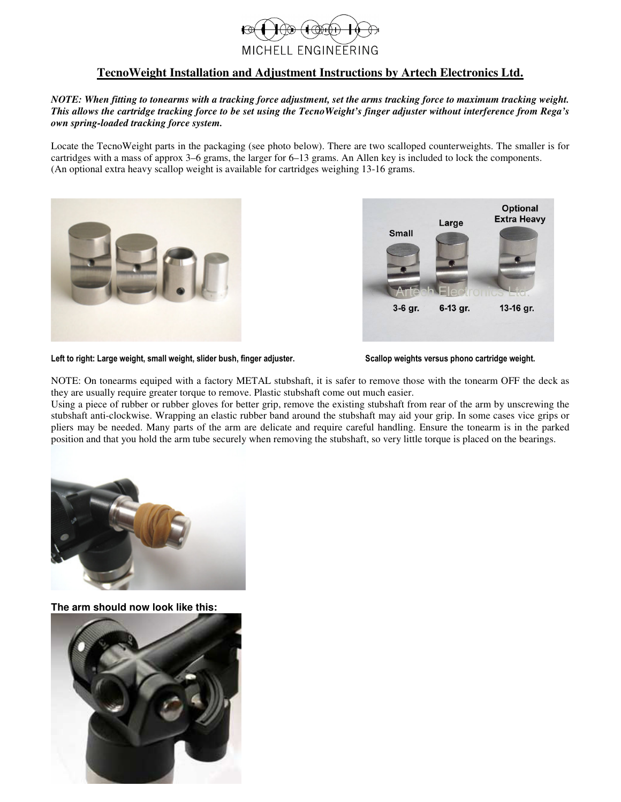

## **TecnoWeight Installation and Adjustment Instructions by Artech Electronics Ltd.**

*NOTE: When fitting to tonearms with a tracking force adjustment, set the arms tracking force to maximum tracking weight. This allows the cartridge tracking force to be set using the TecnoWeight's finger adjuster without interference from Rega's own spring-loaded tracking force system.* 

Locate the TecnoWeight parts in the packaging (see photo below). There are two scalloped counterweights. The smaller is for cartridges with a mass of approx 3–6 grams, the larger for 6–13 grams. An Allen key is included to lock the components. (An optional extra heavy scallop weight is available for cartridges weighing 13-16 grams.





Left to right: Large weight, small weight, slider bush, finger adjuster. **Scallop weights versus phono cartridge weight.** 

NOTE: On tonearms equiped with a factory METAL stubshaft, it is safer to remove those with the tonearm OFF the deck as they are usually require greater torque to remove. Plastic stubshaft come out much easier.

Using a piece of rubber or rubber gloves for better grip, remove the existing stubshaft from rear of the arm by unscrewing the stubshaft anti-clockwise. Wrapping an elastic rubber band around the stubshaft may aid your grip. In some cases vice grips or pliers may be needed. Many parts of the arm are delicate and require careful handling. Ensure the tonearm is in the parked position and that you hold the arm tube securely when removing the stubshaft, so very little torque is placed on the bearings.



**The arm should now look like this:** 

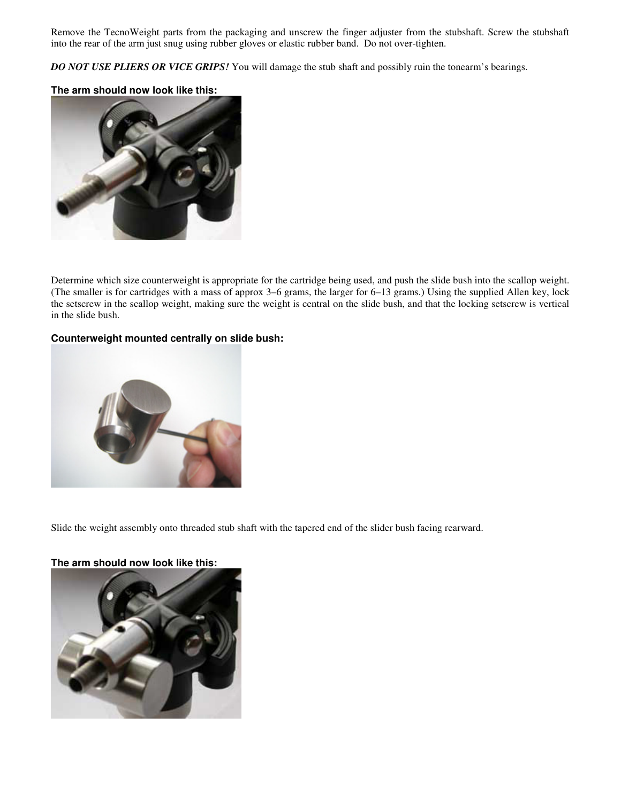Remove the TecnoWeight parts from the packaging and unscrew the finger adjuster from the stubshaft. Screw the stubshaft into the rear of the arm just snug using rubber gloves or elastic rubber band. Do not over-tighten.

*DO NOT USE PLIERS OR VICE GRIPS!* You will damage the stub shaft and possibly ruin the tonearm's bearings.

## **The arm should now look like this:**



Determine which size counterweight is appropriate for the cartridge being used, and push the slide bush into the scallop weight. (The smaller is for cartridges with a mass of approx 3–6 grams, the larger for 6–13 grams.) Using the supplied Allen key, lock the setscrew in the scallop weight, making sure the weight is central on the slide bush, and that the locking setscrew is vertical in the slide bush.

## **Counterweight mounted centrally on slide bush:**



Slide the weight assembly onto threaded stub shaft with the tapered end of the slider bush facing rearward.

## **The arm should now look like this:**